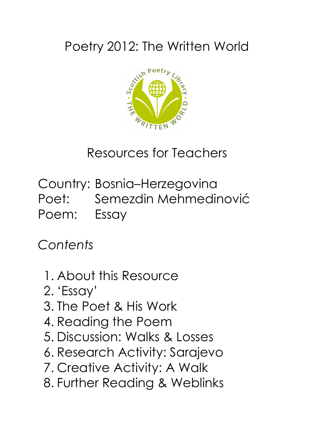## Poetry 2012: The Written World



Resources for Teachers

Country: Bosnia–Herzegovina Poet: Semezdin Mehmedinović Poem: Essay

*Contents*

- 1. About this Resource
- 2. 'Essay'
- 3. The Poet & His Work
- 4. Reading the Poem
- 5. Discussion: Walks & Losses
- 6. Research Activity: Sarajevo
- 7. Creative Activity: A Walk
- 8. Further Reading & Weblinks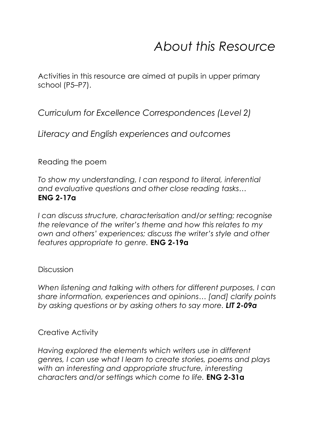## *About this Resource*

Activities in this resource are aimed at pupils in upper primary school (P5–P7).

*Curriculum for Excellence Correspondences (Level 2)*

*Literacy and English experiences and outcomes* 

Reading the poem

*To show my understanding, I can respond to literal, inferential and evaluative questions and other close reading tasks…* **ENG 2-17a** 

*I can discuss structure, characterisation and/or setting; recognise the relevance of the writer's theme and how this relates to my own and others' experiences; discuss the writer's style and other features appropriate to genre.* **ENG 2-19a**

#### Discussion

*When listening and talking with others for different purposes, I can share information, experiences and opinions… [and] clarify points by asking questions or by asking others to say more. LIT 2-09a*

#### Creative Activity

*Having explored the elements which writers use in different genres, I can use what I learn to create stories, poems and plays with an interesting and appropriate structure, interesting characters and/or settings which come to life.* **ENG 2-31a**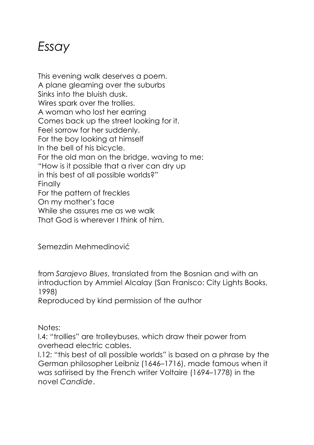### *Essay*

This evening walk deserves a poem. A plane gleaming over the suburbs Sinks into the bluish dusk. Wires spark over the trollies. A woman who lost her earring Comes back up the street looking for it. Feel sorrow for her suddenly. For the boy looking at himself In the bell of his bicycle. For the old man on the bridge, waving to me: "How is it possible that a river can dry up in this best of all possible worlds?" Finally For the pattern of freckles On my mother's face While she assures me as we walk That God is wherever I think of him.

Semezdin Mehmedinović

from *Sarajevo Blues*, translated from the Bosnian and with an introduction by Ammiel Alcalay (San Franisco: City Lights Books, 1998)

Reproduced by kind permission of the author

Notes:

l.4: "trollies" are trolleybuses, which draw their power from overhead electric cables.

l.12: "this best of all possible worlds" is based on a phrase by the German philosopher Leibniz (1646–1716), made famous when it was satirised by the French writer Voltaire (1694–1778) in the novel *Candide*.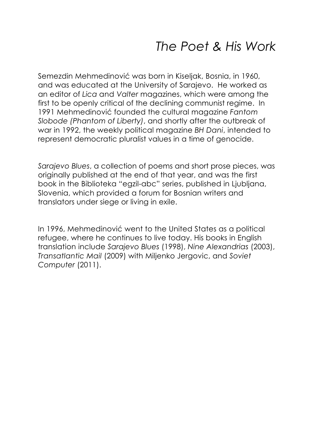### *The Poet & His Work*

Semezdin Mehmedinović was born in Kiseljak, Bosnia, in 1960, and was educated at the University of Sarajevo. He worked as an editor of *Lica* and *Valter* magazines, which were among the first to be openly critical of the declining communist regime. In 1991 Mehmedinović founded the cultural magazine *Fantom Slobode (Phantom of Liberty)*, and shortly after the outbreak of war in 1992, the weekly political magazine *BH Dani*, intended to represent democratic pluralist values in a time of genocide.

*Sarajevo Blues*, a collection of poems and short prose pieces, was originally published at the end of that year, and was the first book in the Biblioteka "egzil-abc" series, published in Ljubljana, Slovenia, which provided a forum for Bosnian writers and translators under siege or living in exile.

In 1996, Mehmedinović went to the United States as a political refugee, where he continues to live today. His books in English translation include *Sarajevo Blues* (1998), *Nine Alexandrias* (2003), *Transatlantic Mail* (2009) with Miljenko Jergovic, and *Soviet Computer* (2011).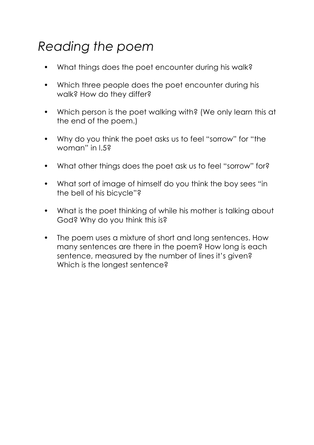# *Reading the poem*

- What things does the poet encounter during his walk?
- Which three people does the poet encounter during his walk? How do they differ?
- Which person is the poet walking with? (We only learn this at the end of the poem.)
- Why do you think the poet asks us to feel "sorrow" for "the woman" in l.5?
- What other things does the poet ask us to feel "sorrow" for?
- What sort of image of himself do you think the boy sees "in the bell of his bicycle"?
- What is the poet thinking of while his mother is talking about God? Why do you think this is?
- The poem uses a mixture of short and long sentences. How many sentences are there in the poem? How long is each sentence, measured by the number of lines it's given? Which is the longest sentence?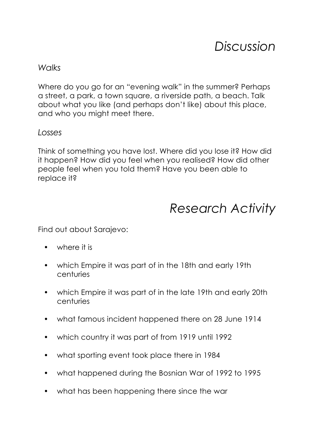### *Discussion*

#### *Walks*

Where do you go for an "evening walk" in the summer? Perhaps a street, a park, a town square, a riverside path, a beach. Talk about what you like (and perhaps don't like) about this place, and who you might meet there.

#### *Losses*

Think of something you have lost. Where did you lose it? How did it happen? How did you feel when you realised? How did other people feel when you told them? Have you been able to replace it?

### *Research Activity*

Find out about Sarajevo:

- where it is
- which Empire it was part of in the 18th and early 19th centuries
- which Empire it was part of in the late 19th and early 20th centuries
- what famous incident happened there on 28 June 1914
- which country it was part of from 1919 until 1992
- what sporting event took place there in 1984
- what happened during the Bosnian War of 1992 to 1995
- what has been happening there since the war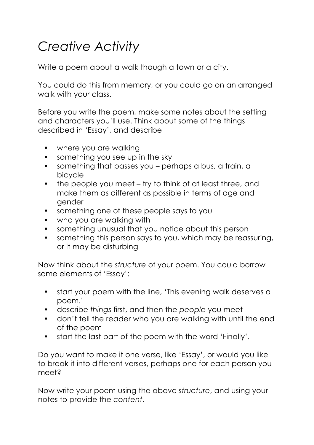# *Creative Activity*

Write a poem about a walk though a town or a city.

You could do this from memory, or you could go on an arranged walk with your class.

Before you write the poem, make some notes about the setting and characters you'll use. Think about some of the things described in 'Essay', and describe

- where you are walking
- something you see up in the sky
- something that passes you perhaps a bus, a train, a bicycle
- the people you meet try to think of at least three, and make them as different as possible in terms of age and gender
- something one of these people says to you
- who you are walking with
- something unusual that you notice about this person
- something this person says to you, which may be reassuring, or it may be disturbing

Now think about the *structure* of your poem. You could borrow some elements of 'Essay':

- start your poem with the line, 'This evening walk deserves a poem.'
- describe *things* first, and then the *people* you meet
- don't tell the reader who you are walking with until the end of the poem
- start the last part of the poem with the word 'Finally'.

Do you want to make it one verse, like 'Essay', or would you like to break it into different verses, perhaps one for each person you meet?

Now write your poem using the above *structure*, and using your notes to provide the *content*.